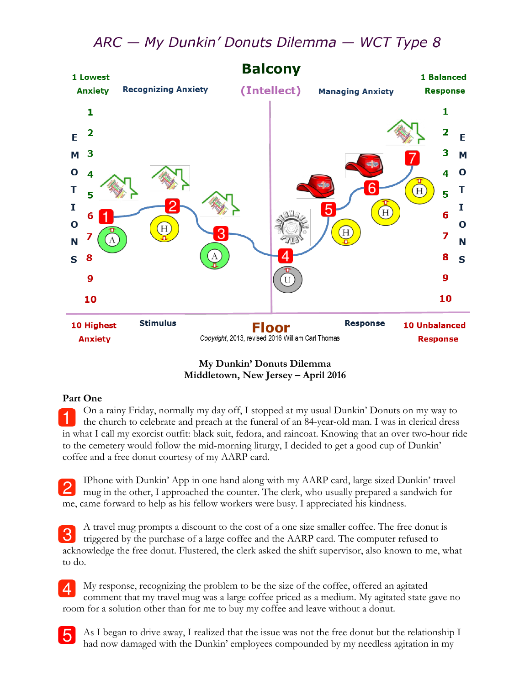## ARC - My Dunkin' Donuts Dilemma - WCT Type 8



**My Dunkin' Donuts Dilemma Middletown, New Jersey – April 2016**

## **Part One**

5

On a rainy Friday, normally my day off, I stopped at my usual Dunkin' Donuts on my way to the church to celebrate and preach at the funeral of an 84-year-old man. I was in clerical dress in what I call my exorcist outfit: black suit, fedora, and raincoat. Knowing that an over two-hour ride to the cemetery would follow the mid-morning liturgy, I decided to get a good cup of Dunkin' coffee and a free donut courtesy of my AARP card.

IPhone with Dunkin' App in one hand along with my AARP card, large sized Dunkin' travel mug in the other, I approached the counter. The clerk, who usually prepared a sandwich for me, came forward to help as his fellow workers were busy. I appreciated his kindness.

A travel mug prompts a discount to the cost of a one size smaller coffee. The free donut is 3 triggered by the purchase of a large coffee and the AARP card. The computer refused to acknowledge the free donut. Flustered, the clerk asked the shift supervisor, also known to me, what to do.

My response, recognizing the problem to be the size of the coffee, offered an agitated comment that my travel mug was a large coffee priced as a medium. My agitated state gave no room for a solution other than for me to buy my coffee and leave without a donut.

As I began to drive away, I realized that the issue was not the free donut but the relationship I had now damaged with the Dunkin' employees compounded by my needless agitation in my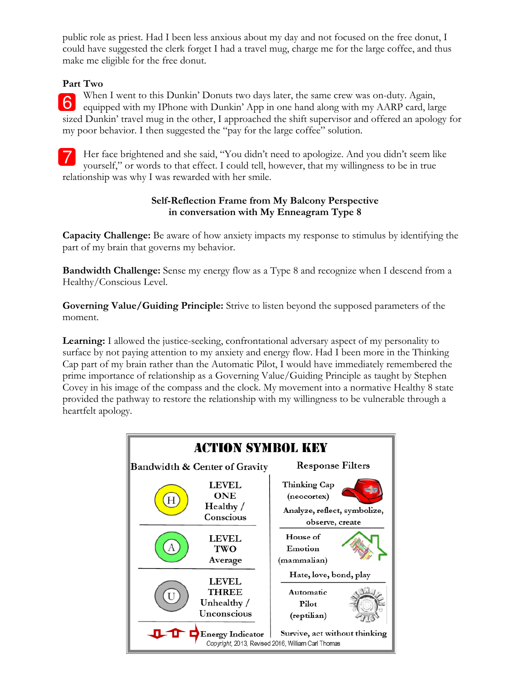public role as priest. Had I been less anxious about my day and not focused on the free donut, I could have suggested the clerk forget I had a travel mug, charge me for the large coffee, and thus make me eligible for the free donut.

## **Part Two**

When I went to this Dunkin' Donuts two days later, the same crew was on-duty. Again, 6 equipped with my IPhone with Dunkin' App in one hand along with my AARP card, large sized Dunkin' travel mug in the other, I approached the shift supervisor and offered an apology for my poor behavior. I then suggested the "pay for the large coffee" solution.

Her face brightened and she said, "You didn't need to apologize. And you didn't seem like yourself," or words to that effect. I could tell, however, that my willingness to be in true relationship was why I was rewarded with her smile.

## **Self-Reflection Frame from My Balcony Perspective in conversation with My Enneagram Type 8**

**Capacity Challenge:** Be aware of how anxiety impacts my response to stimulus by identifying the part of my brain that governs my behavior.

**Bandwidth Challenge:** Sense my energy flow as a Type 8 and recognize when I descend from a Healthy/Conscious Level.

**Governing Value/Guiding Principle:** Strive to listen beyond the supposed parameters of the moment.

**Learning:** I allowed the justice-seeking, confrontational adversary aspect of my personality to surface by not paying attention to my anxiety and energy flow. Had I been more in the Thinking Cap part of my brain rather than the Automatic Pilot, I would have immediately remembered the prime importance of relationship as a Governing Value/Guiding Principle as taught by Stephen Covey in his image of the compass and the clock. My movement into a normative Healthy 8 state provided the pathway to restore the relationship with my willingness to be vulnerable through a heartfelt apology.